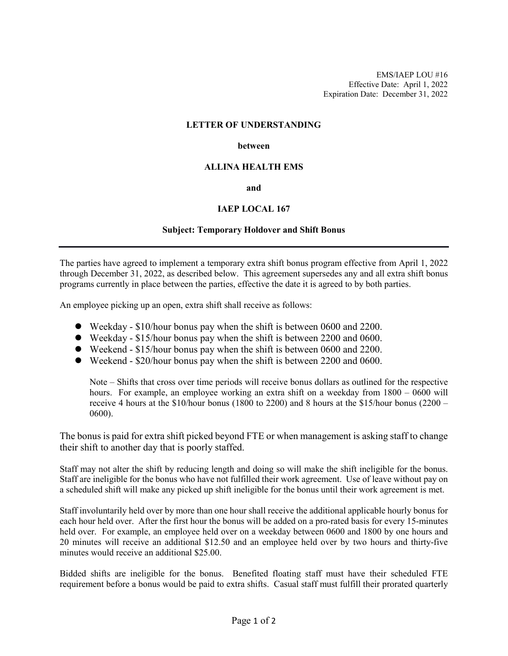EMS/IAEP LOU #16 Effective Date: April 1, 2022 Expiration Date: December 31, 2022

## **LETTER OF UNDERSTANDING**

## **between**

## **ALLINA HEALTH EMS**

#### **and**

## **IAEP LOCAL 167**

## **Subject: Temporary Holdover and Shift Bonus**

The parties have agreed to implement a temporary extra shift bonus program effective from April 1, 2022 through December 31, 2022, as described below. This agreement supersedes any and all extra shift bonus programs currently in place between the parties, effective the date it is agreed to by both parties.

An employee picking up an open, extra shift shall receive as follows:

- Weekday \$10/hour bonus pay when the shift is between 0600 and 2200.
- Weekday \$15/hour bonus pay when the shift is between 2200 and 0600.
- Weekend \$15/hour bonus pay when the shift is between 0600 and 2200.
- Weekend \$20/hour bonus pay when the shift is between 2200 and 0600.

Note – Shifts that cross over time periods will receive bonus dollars as outlined for the respective hours. For example, an employee working an extra shift on a weekday from 1800 – 0600 will receive 4 hours at the  $$10/h$ our bonus (1800 to 2200) and 8 hours at the  $$15/h$ our bonus (2200 – 0600).

The bonus is paid for extra shift picked beyond FTE or when management is asking staff to change their shift to another day that is poorly staffed.

Staff may not alter the shift by reducing length and doing so will make the shift ineligible for the bonus. Staff are ineligible for the bonus who have not fulfilled their work agreement. Use of leave without pay on a scheduled shift will make any picked up shift ineligible for the bonus until their work agreement is met.

Staff involuntarily held over by more than one hour shall receive the additional applicable hourly bonus for each hour held over. After the first hour the bonus will be added on a pro-rated basis for every 15-minutes held over. For example, an employee held over on a weekday between 0600 and 1800 by one hours and 20 minutes will receive an additional \$12.50 and an employee held over by two hours and thirty-five minutes would receive an additional \$25.00.

Bidded shifts are ineligible for the bonus. Benefited floating staff must have their scheduled FTE requirement before a bonus would be paid to extra shifts. Casual staff must fulfill their prorated quarterly